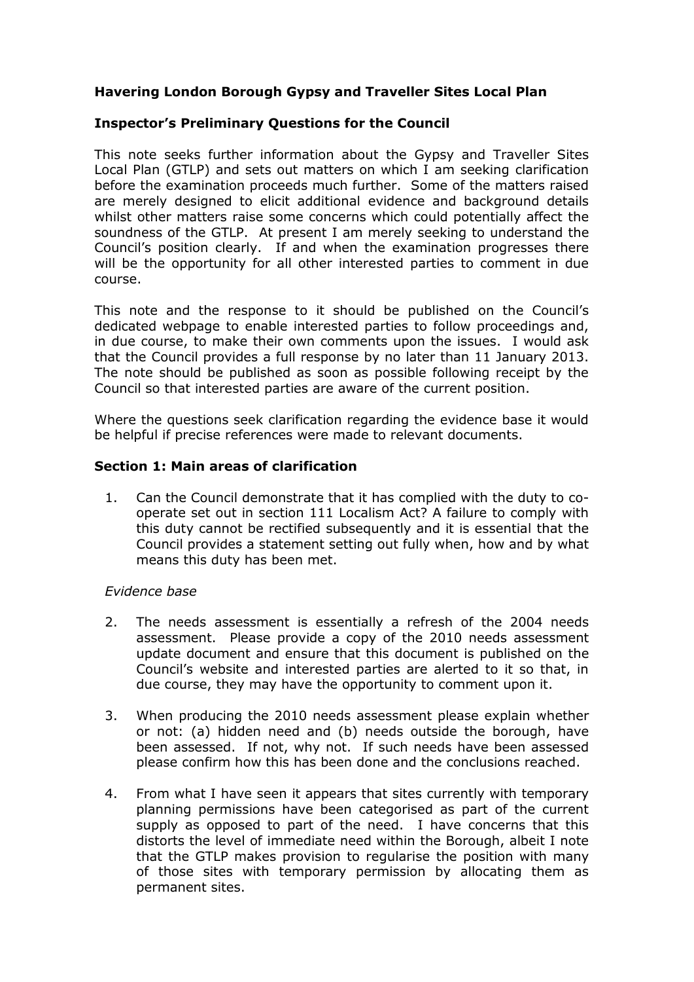# **Havering London Borough Gypsy and Traveller Sites Local Plan**

## **Inspector's Preliminary Questions for the Council**

This note seeks further information about the Gypsy and Traveller Sites Local Plan (GTLP) and sets out matters on which I am seeking clarification before the examination proceeds much further. Some of the matters raised are merely designed to elicit additional evidence and background details whilst other matters raise some concerns which could potentially affect the soundness of the GTLP. At present I am merely seeking to understand the Council's position clearly. If and when the examination progresses there will be the opportunity for all other interested parties to comment in due course.

This note and the response to it should be published on the Council's dedicated webpage to enable interested parties to follow proceedings and, in due course, to make their own comments upon the issues. I would ask that the Council provides a full response by no later than 11 January 2013. The note should be published as soon as possible following receipt by the Council so that interested parties are aware of the current position.

Where the questions seek clarification regarding the evidence base it would be helpful if precise references were made to relevant documents.

### **Section 1: Main areas of clarification**

1. Can the Council demonstrate that it has complied with the duty to cooperate set out in section 111 Localism Act? A failure to comply with this duty cannot be rectified subsequently and it is essential that the Council provides a statement setting out fully when, how and by what means this duty has been met.

### *Evidence base*

- 2. The needs assessment is essentially a refresh of the 2004 needs assessment. Please provide a copy of the 2010 needs assessment update document and ensure that this document is published on the Council's website and interested parties are alerted to it so that, in due course, they may have the opportunity to comment upon it.
- 3. When producing the 2010 needs assessment please explain whether or not: (a) hidden need and (b) needs outside the borough, have been assessed. If not, why not. If such needs have been assessed please confirm how this has been done and the conclusions reached.
- 4. From what I have seen it appears that sites currently with temporary planning permissions have been categorised as part of the current supply as opposed to part of the need. I have concerns that this distorts the level of immediate need within the Borough, albeit I note that the GTLP makes provision to regularise the position with many of those sites with temporary permission by allocating them as permanent sites.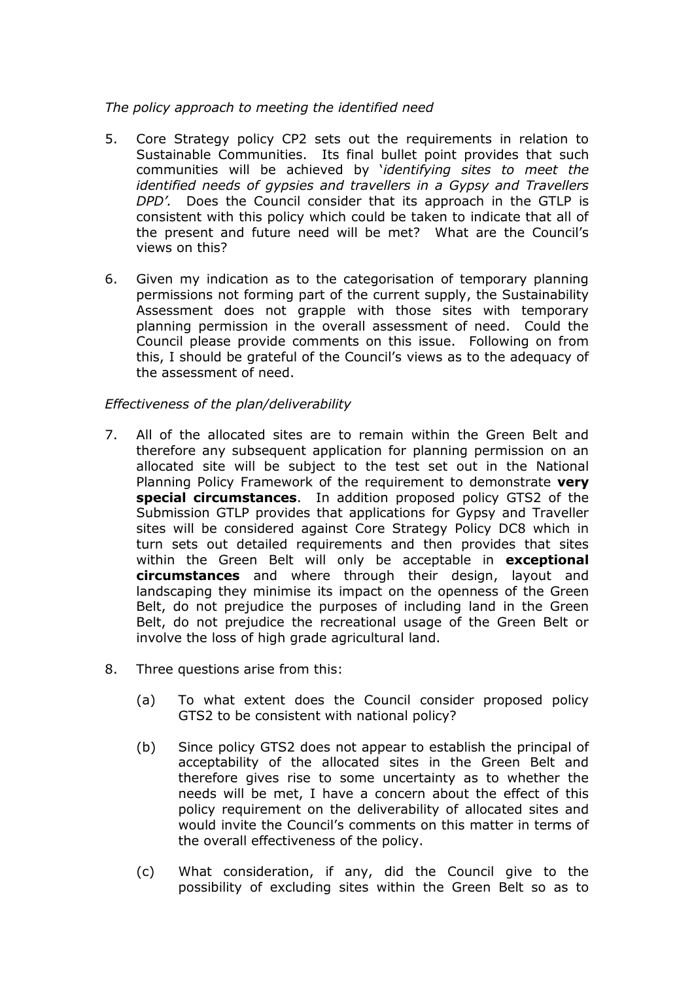#### *The policy approach to meeting the identified need*

- 5. Core Strategy policy CP2 sets out the requirements in relation to Sustainable Communities. Its final bullet point provides that such communities will be achieved by '*identifying sites to meet the identified needs of gypsies and travellers in a Gypsy and Travellers DPD'.* Does the Council consider that its approach in the GTLP is consistent with this policy which could be taken to indicate that all of the present and future need will be met? What are the Council's views on this?
- 6. Given my indication as to the categorisation of temporary planning permissions not forming part of the current supply, the Sustainability Assessment does not grapple with those sites with temporary planning permission in the overall assessment of need. Could the Council please provide comments on this issue. Following on from this, I should be grateful of the Council's views as to the adequacy of the assessment of need.

### *Effectiveness of the plan/deliverability*

- 7. All of the allocated sites are to remain within the Green Belt and therefore any subsequent application for planning permission on an allocated site will be subject to the test set out in the National Planning Policy Framework of the requirement to demonstrate **very special circumstances**. In addition proposed policy GTS2 of the Submission GTLP provides that applications for Gypsy and Traveller sites will be considered against Core Strategy Policy DC8 which in turn sets out detailed requirements and then provides that sites within the Green Belt will only be acceptable in **exceptional circumstances** and where through their design, layout and landscaping they minimise its impact on the openness of the Green Belt, do not prejudice the purposes of including land in the Green Belt, do not prejudice the recreational usage of the Green Belt or involve the loss of high grade agricultural land.
- 8. Three questions arise from this:
	- (a) To what extent does the Council consider proposed policy GTS2 to be consistent with national policy?
	- (b) Since policy GTS2 does not appear to establish the principal of acceptability of the allocated sites in the Green Belt and therefore gives rise to some uncertainty as to whether the needs will be met, I have a concern about the effect of this policy requirement on the deliverability of allocated sites and would invite the Council's comments on this matter in terms of the overall effectiveness of the policy.
	- (c) What consideration, if any, did the Council give to the possibility of excluding sites within the Green Belt so as to